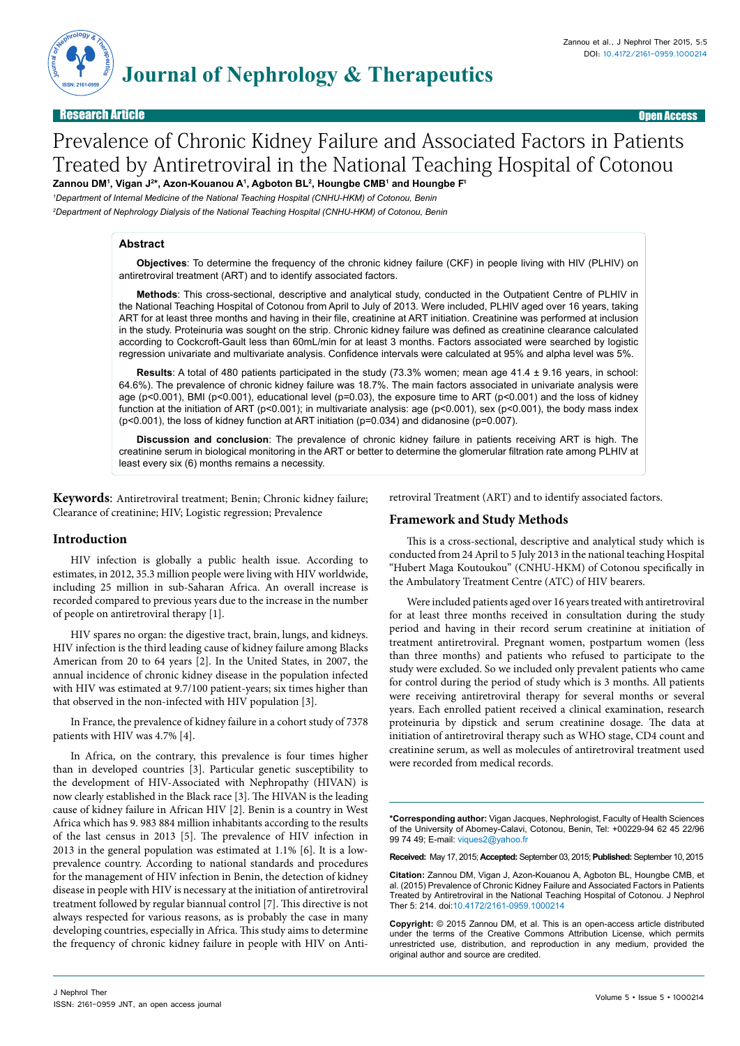

Research Article Open Access

# Prevalence of Chronic Kidney Failure and Associated Factors in Patients Treated by Antiretroviral in the National Teaching Hospital of Cotonou

**Zannou DM1 , Vigan J2 \*, Azon-Kouanou A1 , Agboton BL2 , Houngbe CMB1 and Houngbe Ft** *1 Department of Internal Medicine of the National Teaching Hospital (CNHU-HKM) of Cotonou, Benin*

*2 Department of Nephrology Dialysis of the National Teaching Hospital (CNHU-HKM) of Cotonou, Benin*

# **Abstract**

**Objectives**: To determine the frequency of the chronic kidney failure (CKF) in people living with HIV (PLHIV) on antiretroviral treatment (ART) and to identify associated factors.

**Methods**: This cross-sectional, descriptive and analytical study, conducted in the Outpatient Centre of PLHIV in the National Teaching Hospital of Cotonou from April to July of 2013. Were included, PLHIV aged over 16 years, taking ART for at least three months and having in their file, creatinine at ART initiation. Creatinine was performed at inclusion in the study. Proteinuria was sought on the strip. Chronic kidney failure was defined as creatinine clearance calculated according to Cockcroft-Gault less than 60mL/min for at least 3 months. Factors associated were searched by logistic regression univariate and multivariate analysis. Confidence intervals were calculated at 95% and alpha level was 5%.

**Results**: A total of 480 patients participated in the study (73.3% women; mean age 41.4 ± 9.16 years, in school: 64.6%). The prevalence of chronic kidney failure was 18.7%. The main factors associated in univariate analysis were age (p<0.001), BMI (p<0.001), educational level (p=0.03), the exposure time to ART (p<0.001) and the loss of kidney function at the initiation of ART (p<0.001); in multivariate analysis: age (p<0.001), sex (p<0.001), the body mass index (p<0.001), the loss of kidney function at ART initiation (p=0.034) and didanosine (p=0.007).

**Discussion and conclusion**: The prevalence of chronic kidney failure in patients receiving ART is high. The creatinine serum in biological monitoring in the ART or better to determine the glomerular filtration rate among PLHIV at least every six (6) months remains a necessity.

**Keywords**: Antiretroviral treatment; Benin; Chronic kidney failure; Clearance of creatinine; HIV; Logistic regression; Prevalence

retroviral Treatment (ART) and to identify associated factors.

# **Introduction**

HIV infection is globally a public health issue. According to estimates, in 2012, 35.3 million people were living with HIV worldwide, including 25 million in sub-Saharan Africa. An overall increase is recorded compared to previous years due to the increase in the number of people on antiretroviral therapy [1].

HIV spares no organ: the digestive tract, brain, lungs, and kidneys. HIV infection is the third leading cause of kidney failure among Blacks American from 20 to 64 years [2]. In the United States, in 2007, the annual incidence of chronic kidney disease in the population infected with HIV was estimated at 9.7/100 patient-years; six times higher than that observed in the non-infected with HIV population [3].

In France, the prevalence of kidney failure in a cohort study of 7378 patients with HIV was 4.7% [4].

In Africa, on the contrary, this prevalence is four times higher than in developed countries [3]. Particular genetic susceptibility to the development of HIV-Associated with Nephropathy (HIVAN) is now clearly established in the Black race [3]. The HIVAN is the leading cause of kidney failure in African HIV [2]. Benin is a country in West Africa which has 9. 983 884 million inhabitants according to the results of the last census in 2013 [5]. The prevalence of HIV infection in 2013 in the general population was estimated at 1.1% [6]. It is a lowprevalence country. According to national standards and procedures for the management of HIV infection in Benin, the detection of kidney disease in people with HIV is necessary at the initiation of antiretroviral treatment followed by regular biannual control [7]. This directive is not always respected for various reasons, as is probably the case in many developing countries, especially in Africa. This study aims to determine the frequency of chronic kidney failure in people with HIV on Anti**Framework and Study Methods**

This is a cross-sectional, descriptive and analytical study which is conducted from 24 April to 5 July 2013 in the national teaching Hospital "Hubert Maga Koutoukou" (CNHU-HKM) of Cotonou specifically in the Ambulatory Treatment Centre (ATC) of HIV bearers.

Were included patients aged over 16 years treated with antiretroviral for at least three months received in consultation during the study period and having in their record serum creatinine at initiation of treatment antiretroviral. Pregnant women, postpartum women (less than three months) and patients who refused to participate to the study were excluded. So we included only prevalent patients who came for control during the period of study which is 3 months. All patients were receiving antiretroviral therapy for several months or several years. Each enrolled patient received a clinical examination, research proteinuria by dipstick and serum creatinine dosage. The data at initiation of antiretroviral therapy such as WHO stage, CD4 count and creatinine serum, as well as molecules of antiretroviral treatment used were recorded from medical records.

**\*Corresponding author:** Vigan Jacques, Nephrologist, Faculty of Health Sciences of the University of Abomey-Calavi, Cotonou, Benin, Tel: +00229-94 62 45 22/96 99 74 49; E-mail: viques2@yahoo.fr

**Received:** May 17, 2015; **Accepted:**September 03, 2015; **Published:**September 10, 2015

**Citation:** Zannou DM, Vigan J, Azon-Kouanou A, Agboton BL, Houngbe CMB, et al. (2015) Prevalence of Chronic Kidney Failure and Associated Factors in Patients Treated by Antiretroviral in the National Teaching Hospital of Cotonou. J Nephrol Ther 5: 214. doi:10.4172/2161-0959.1000214

**Copyright:** © 2015 Zannou DM, et al. This is an open-access article distributed under the terms of the Creative Commons Attribution License, which permits unrestricted use, distribution, and reproduction in any medium, provided the original author and source are credited.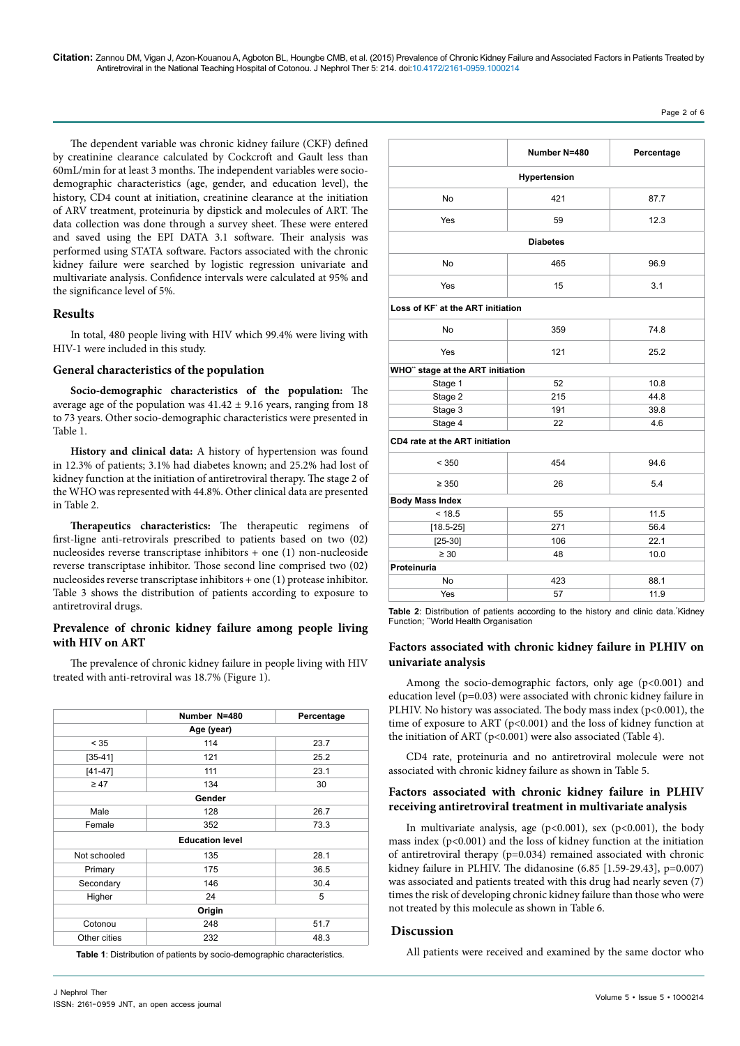Page 2 of 6

**Number N=480 Percentage**

**Hypertension** No 87.7 Yes 12.3 **Diabetes**

No 165 96.9 Yes 15 3.1

No 359 74.8

The dependent variable was chronic kidney failure (CKF) defined by creatinine clearance calculated by Cockcroft and Gault less than 60mL/min for at least 3 months. The independent variables were sociodemographic characteristics (age, gender, and education level), the history, CD4 count at initiation, creatinine clearance at the initiation of ARV treatment, proteinuria by dipstick and molecules of ART. The data collection was done through a survey sheet. These were entered and saved using the EPI DATA 3.1 software. Their analysis was performed using STATA software. Factors associated with the chronic kidney failure were searched by logistic regression univariate and multivariate analysis. Confidence intervals were calculated at 95% and the significance level of 5%.

### **Results**

In total, 480 people living with HIV which 99.4% were living with HIV-1 were included in this study.

#### **General characteristics of the population**

Socio-demographic characteristics of the popu average age of the population was  $41.42 \pm 9.16$  years, rangerto 73 years. Other socio-demographic characteristics were Table 1.

**History and clinical data:** A history of hypertension in 12.3% of patients; 3.1% had diabetes known; and 25.2 kidney function at the initiation of antiretroviral therapy. the WHO was represented with 44.8%. Other clinical data in Table 2.

**Therapeutics characteristics:** The therapeutic first-ligne anti-retrovirals prescribed to patients based nucleosides reverse transcriptase inhibitors  $+$  one (1) no reverse transcriptase inhibitor. Those second line compr nucleosides reverse transcriptase inhibitors  $+$  one (1) prote Table 3 shows the distribution of patients according to antiretroviral drugs.

#### Prevalence of chronic kidney failure among pe **with HIV on ART**

The prevalence of chronic kidney failure in people living treated with anti-retroviral was 18.7% (Figure 1).

|                        | Number N=480 | Percentage |  |  |
|------------------------|--------------|------------|--|--|
| Age (year)             |              |            |  |  |
| < 35                   | 114          | 23.7       |  |  |
| $[35 - 41]$            | 121          | 25.2       |  |  |
| $[41-47]$              | 111          | 23.1       |  |  |
| $\geq 47$              | 134          | 30         |  |  |
| Gender                 |              |            |  |  |
| Male                   | 128          | 26.7       |  |  |
| Female                 | 73.3<br>352  |            |  |  |
| <b>Education level</b> |              |            |  |  |
| Not schooled           | 135          | 28.1       |  |  |
| Primary                | 175          | 36.5       |  |  |
| Secondary              | 146          | 30.4       |  |  |
| Higher                 | 24           | 5          |  |  |
| Origin                 |              |            |  |  |
| Cotonou                | 248          | 51.7       |  |  |
| Other cities           | 232          | 48.3       |  |  |

**Table 1**: Distribution of patients by socio-demographic characteristics.

|                                 | Yes                                                                                                                                                                                                                                                                                                    | 121                                                                                                                                                | 25.2 |  |  |  |
|---------------------------------|--------------------------------------------------------------------------------------------------------------------------------------------------------------------------------------------------------------------------------------------------------------------------------------------------------|----------------------------------------------------------------------------------------------------------------------------------------------------|------|--|--|--|
|                                 | WHO" stage at the ART initiation                                                                                                                                                                                                                                                                       |                                                                                                                                                    |      |  |  |  |
|                                 | Stage 1                                                                                                                                                                                                                                                                                                | 52                                                                                                                                                 | 10.8 |  |  |  |
| ulation: The                    | Stage 2                                                                                                                                                                                                                                                                                                | 215                                                                                                                                                | 44.8 |  |  |  |
| ging from 18                    | Stage 3                                                                                                                                                                                                                                                                                                | 191                                                                                                                                                | 39.8 |  |  |  |
| e presented in                  | Stage 4                                                                                                                                                                                                                                                                                                | 22                                                                                                                                                 | 4.6  |  |  |  |
|                                 | CD4 rate at the ART initiation                                                                                                                                                                                                                                                                         |                                                                                                                                                    |      |  |  |  |
| on was found<br>% had lost of   | < 350                                                                                                                                                                                                                                                                                                  | 454                                                                                                                                                | 94.6 |  |  |  |
| The stage 2 of<br>are presented | $\geq 350$                                                                                                                                                                                                                                                                                             | 26                                                                                                                                                 | 5.4  |  |  |  |
|                                 | <b>Body Mass Index</b>                                                                                                                                                                                                                                                                                 |                                                                                                                                                    |      |  |  |  |
|                                 | < 18.5                                                                                                                                                                                                                                                                                                 | 55                                                                                                                                                 | 11.5 |  |  |  |
| regimens of                     | $[18.5 - 25]$                                                                                                                                                                                                                                                                                          | 271                                                                                                                                                | 56.4 |  |  |  |
| on two $(02)$                   | $[25-30]$                                                                                                                                                                                                                                                                                              | 106                                                                                                                                                | 22.1 |  |  |  |
| on-nucleoside                   | $\geq 30$                                                                                                                                                                                                                                                                                              | 48                                                                                                                                                 | 10.0 |  |  |  |
| ised two (02)                   | Proteinuria                                                                                                                                                                                                                                                                                            |                                                                                                                                                    |      |  |  |  |
| ease inhibitor.                 | No                                                                                                                                                                                                                                                                                                     | 423                                                                                                                                                | 88.1 |  |  |  |
| exposure to                     | Yes                                                                                                                                                                                                                                                                                                    | 57                                                                                                                                                 | 11.9 |  |  |  |
| ople living<br>ing with HIV     | Table 2: Distribution of patients according to the history and clinic data. Kidney<br>Function; "World Health Organisation<br>Factors associated with chronic kidney failure in PLHIV on<br>univariate analysis                                                                                        |                                                                                                                                                    |      |  |  |  |
| rcentage<br>23.7                | education level (p=0.03) were associated with chronic kidney failure in<br>PLHIV. No history was associated. The body mass index ( $p<0.001$ ), the<br>time of exposure to ART ( $p<0.001$ ) and the loss of kidney function at<br>the initiation of ART ( $p<0.001$ ) were also associated (Table 4). | Among the socio-demographic factors, only age $(p<0.001)$ and                                                                                      |      |  |  |  |
| 25.2                            |                                                                                                                                                                                                                                                                                                        |                                                                                                                                                    |      |  |  |  |
| 23.1                            |                                                                                                                                                                                                                                                                                                        | CD4 rate, proteinuria and no antiretroviral molecule were not<br>associated with chronic kidney failure as shown in Table 5.                       |      |  |  |  |
| 30                              |                                                                                                                                                                                                                                                                                                        |                                                                                                                                                    |      |  |  |  |
|                                 | Factors associated with chronic kidney failure in PLHIV                                                                                                                                                                                                                                                |                                                                                                                                                    |      |  |  |  |
| 26.7                            | receiving antiretroviral treatment in multivariate analysis                                                                                                                                                                                                                                            |                                                                                                                                                    |      |  |  |  |
| 73.3                            |                                                                                                                                                                                                                                                                                                        |                                                                                                                                                    |      |  |  |  |
|                                 |                                                                                                                                                                                                                                                                                                        | In multivariate analysis, age ( $p<0.001$ ), sex ( $p<0.001$ ), the body<br>mass index (n/0.001) and the loss of kidney function at the initiation |      |  |  |  |

**Loss of KF\* at the ART initiation** 

), the body mass index (p<0.001) and the loss of kidney function at the initiation of antiretroviral therapy (p=0.034) remained associated with chronic kidney failure in PLHIV. The didanosine (6.85 [1.59-29.43], p=0.007) was associated and patients treated with this drug had nearly seven (7) times the risk of developing chronic kidney failure than those who were not treated by this molecule as shown in Table 6.

#### **Discussion**

All patients were received and examined by the same doctor who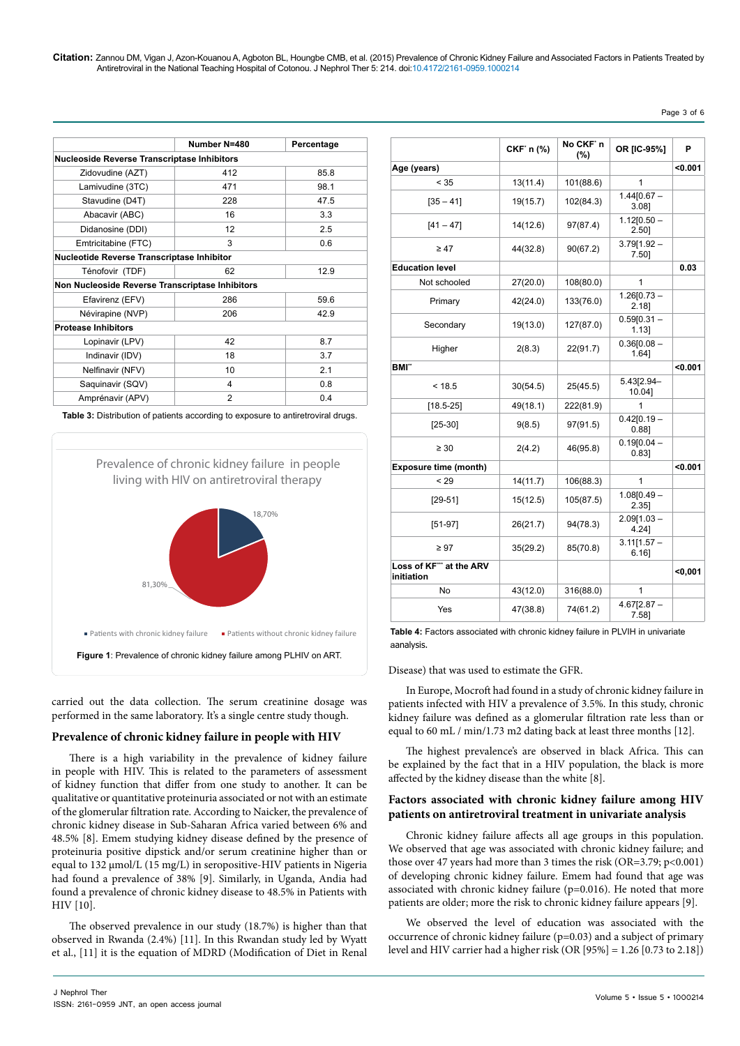|                                                    | Number N=480   | Percentage |  |  |  |
|----------------------------------------------------|----------------|------------|--|--|--|
| <b>Nucleoside Reverse Transcriptase Inhibitors</b> |                |            |  |  |  |
| Zidovudine (AZT)                                   | 412            | 85.8       |  |  |  |
| Lamivudine (3TC)                                   | 471            | 98.1       |  |  |  |
| Stavudine (D4T)                                    | 228            | 47.5       |  |  |  |
| Abacavir (ABC)                                     | 16             | 3.3        |  |  |  |
| Didanosine (DDI)                                   | 12             | 2.5        |  |  |  |
| Emtricitabine (FTC)                                | 3              | 0.6        |  |  |  |
| <b>Nucleotide Reverse Transcriptase Inhibitor</b>  |                |            |  |  |  |
| Ténofovir (TDF)                                    | 62             | 12.9       |  |  |  |
| Non Nucleoside Reverse Transcriptase Inhibitors    |                |            |  |  |  |
| Efavirenz (EFV)                                    | 286            | 59.6       |  |  |  |
| Névirapine (NVP)                                   | 206            | 42.9       |  |  |  |
| <b>Protease Inhibitors</b>                         |                |            |  |  |  |
| Lopinavir (LPV)                                    | 42             | 8.7        |  |  |  |
| Indinavir (IDV)                                    | 18             | 3.7        |  |  |  |
| Nelfinavir (NFV)                                   | 10             | 2.1        |  |  |  |
| Saquinavir (SQV)                                   | 4              | 0.8        |  |  |  |
| Amprénavir (APV)                                   | $\overline{2}$ | 0.4        |  |  |  |
|                                                    |                |            |  |  |  |

**Table 3:** Distribution of patients according to exposure to antiretroviral drugs.



carried out the data collection. The serum creatinine dosage was performed in the same laboratory. It's a single centre study though.

#### **Prevalence of chronic kidney failure in people with HIV**

There is a high variability in the prevalence of kidney failure in people with HIV. This is related to the parameters of assessment of kidney function that differ from one study to another. It can be qualitative or quantitative proteinuria associated or not with an estimate of the glomerular filtration rate. According to Naicker, the prevalence of chronic kidney disease in Sub-Saharan Africa varied between 6% and 48.5% [8]. Emem studying kidney disease defined by the presence of proteinuria positive dipstick and/or serum creatinine higher than or equal to 132 μmol/L (15 mg/L) in seropositive-HIV patients in Nigeria had found a prevalence of 38% [9]. Similarly, in Uganda, Andia had found a prevalence of chronic kidney disease to 48.5% in Patients with HIV [10].

The observed prevalence in our study (18.7%) is higher than that observed in Rwanda (2.4%) [11]. In this Rwandan study led by Wyatt et al., [11] it is the equation of MDRD (Modification of Diet in Renal

|                                      | CKF' n (%) | No CKF'n<br>(%) | OR [IC-95%]               | P       |
|--------------------------------------|------------|-----------------|---------------------------|---------|
| Age (years)                          |            |                 |                           | $0.001$ |
| < 35                                 | 13(11.4)   | 101(88.6)       | 1                         |         |
| $[35 - 41]$                          | 19(15.7)   | 102(84.3)       | $1.44[0.67 -$<br>3.08]    |         |
| $[41 - 47]$                          | 14(12.6)   | 97(87.4)        | $1.12[0.50 -$<br>2.50]    |         |
| $\geq 47$                            | 44(32.8)   | 90(67.2)        | $3.79[1.92 -$<br>7.501    |         |
| <b>Education level</b>               |            |                 |                           | 0.03    |
| Not schooled                         | 27(20.0)   | 108(80.0)       | 1                         |         |
| Primary                              | 42(24.0)   | 133(76.0)       | $1.26[0.73 -$<br>$2.18$ ] |         |
| Secondary                            | 19(13.0)   | 127(87.0)       | $0.59[0.31 -$<br>$1.13$ ] |         |
| Higher                               | 2(8.3)     | 22(91.7)        | $0.36[0.08 -$<br>1.641    |         |
| <b>BMI</b> "                         |            |                 |                           | <0.001  |
| < 18.5                               | 30(54.5)   | 25(45.5)        | 5.43[2.94-<br>10.04]      |         |
| $[18.5 - 25]$                        | 49(18.1)   | 222(81.9)       | 1                         |         |
| $[25-30]$                            | 9(8.5)     | 97(91.5)        | $0.42[0.19 -$<br>0.88]    |         |
| $\geq 30$                            | 2(4.2)     | 46(95.8)        | $0.19[0.04 -$<br>0.831    |         |
| <b>Exposure time (month)</b>         |            |                 |                           | < 0.001 |
| < 29                                 | 14(11.7)   | 106(88.3)       | 1                         |         |
| $[29-51]$                            | 15(12.5)   | 105(87.5)       | $1.08[0.49 -$<br>$2.35$ ] |         |
| $[51-97]$                            | 26(21.7)   | 94(78.3)        | $2.09[1.03 -$<br>4.24]    |         |
| $\geq 97$                            | 35(29.2)   | 85(70.8)        | $3.11[1.57 -$<br>$6.16$ ] |         |
| Loss of KF" at the ARV<br>initiation |            |                 |                           | $0,001$ |
| No                                   | 43(12.0)   | 316(88.0)       | 1                         |         |
| Yes                                  | 47(38.8)   | 74(61.2)        | $4.67[2.87 -$<br>7.58]    |         |

**Table 4:** Factors associated with chronic kidney failure in PLVIH in univariate aanalysis.

Disease) that was used to estimate the GFR.

In Europe, Mocroft had found in a study of chronic kidney failure in patients infected with HIV a prevalence of 3.5%. In this study, chronic kidney failure was defined as a glomerular filtration rate less than or equal to 60 mL / min/1.73 m2 dating back at least three months [12].

The highest prevalence's are observed in black Africa. This can be explained by the fact that in a HIV population, the black is more affected by the kidney disease than the white [8].

#### **Factors associated with chronic kidney failure among HIV patients on antiretroviral treatment in univariate analysis**

Chronic kidney failure affects all age groups in this population. We observed that age was associated with chronic kidney failure; and those over 47 years had more than 3 times the risk (OR=3.79; p<0.001) of developing chronic kidney failure. Emem had found that age was associated with chronic kidney failure (p=0.016). He noted that more patients are older; more the risk to chronic kidney failure appears [9].

We observed the level of education was associated with the occurrence of chronic kidney failure (p=0.03) and a subject of primary level and HIV carrier had a higher risk (OR [95%] = 1.26 [0.73 to 2.18])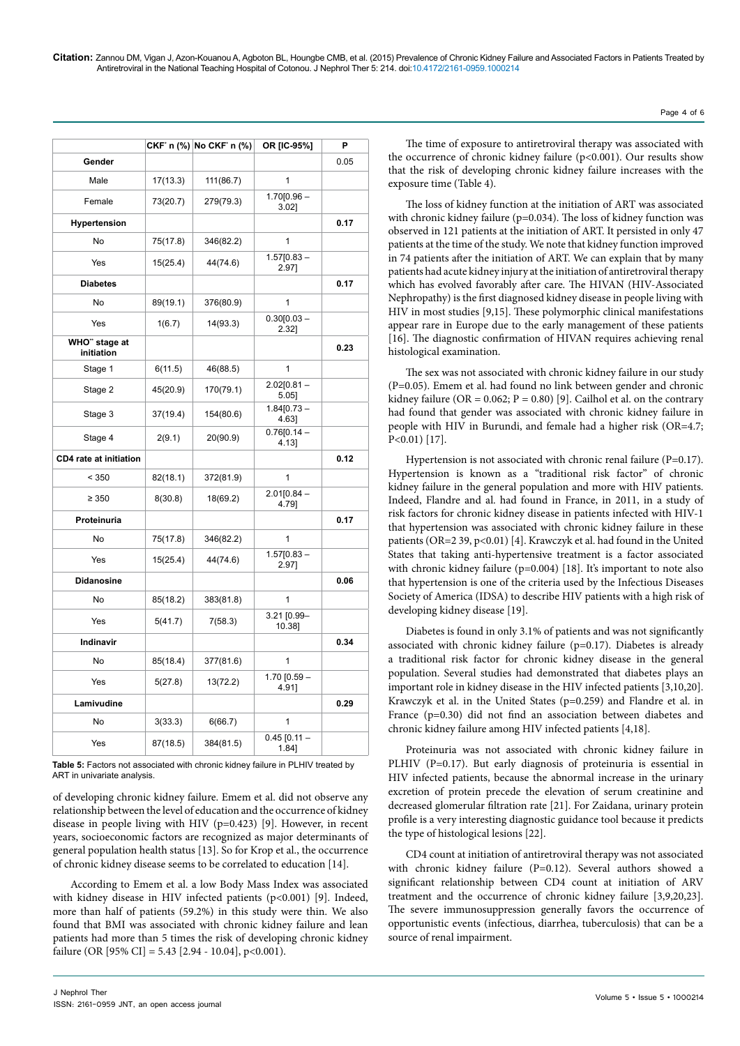|                               |          | CKF' n (%) No CKF' n (%) | OR [IC-95%]               | P    |
|-------------------------------|----------|--------------------------|---------------------------|------|
| Gender                        |          |                          |                           | 0.05 |
| Male                          | 17(13.3) | 111(86.7)                | 1                         |      |
| Female                        | 73(20.7) | 279(79.3)                | $1.70[0.96 -$<br>$3.02$ ] |      |
| Hypertension                  |          |                          |                           | 0.17 |
| No                            | 75(17.8) | 346(82.2)                | $\mathbf{1}$              |      |
| Yes                           | 15(25.4) | 44(74.6)                 | $1.57[0.83 -$<br>2.97]    |      |
| <b>Diabetes</b>               |          |                          |                           | 0.17 |
| No                            | 89(19.1) | 376(80.9)                | 1                         |      |
| Yes                           | 1(6.7)   | 14(93.3)                 | $0.30[0.03 -$<br>2.32]    |      |
| WHO" stage at<br>initiation   |          |                          |                           | 0.23 |
| Stage 1                       | 6(11.5)  | 46(88.5)                 | 1                         |      |
| Stage 2                       | 45(20.9) | 170(79.1)                | $2.02[0.81 -$<br>$5.05$ ] |      |
| Stage 3                       | 37(19.4) | 154(80.6)                | $1.84[0.73 -$<br>4.631    |      |
| Stage 4                       | 2(9.1)   | 20(90.9)                 | $0.76[0.14 -$<br>4.13]    |      |
| <b>CD4 rate at initiation</b> |          |                          |                           | 0.12 |
| < 350                         | 82(18.1) | 372(81.9)                | 1                         |      |
| $\geq 350$                    | 8(30.8)  | 18(69.2)                 | $2.01[0.84 -$<br>4.79]    |      |
| Proteinuria                   |          |                          |                           | 0.17 |
| No                            | 75(17.8) | 346(82.2)                | 1                         |      |
| Yes                           | 15(25.4) | 44(74.6)                 | $1.57[0.83 -$<br>2.97]    |      |
| <b>Didanosine</b>             |          |                          |                           | 0.06 |
| No                            | 85(18.2) | 383(81.8)                | 1                         |      |
| Yes                           | 5(41.7)  | 7(58.3)                  | 3.21 [0.99-<br>10.38]     |      |
| Indinavir                     |          |                          |                           | 0.34 |
| No                            | 85(18.4) | 377(81.6)                | 1                         |      |
| Yes                           | 5(27.8)  | 13(72.2)                 | 1.70 $[0.59 -$<br>4.911   |      |
| Lamivudine                    |          |                          |                           | 0.29 |
| No                            | 3(33.3)  | 6(66.7)                  | 1                         |      |
| Yes                           | 87(18.5) | 384(81.5)                | $0.45$ [0.11 -<br>1.84]   |      |

**Table 5:** Factors not associated with chronic kidney failure in PLHIV treated by ART in univariate analysis.

of developing chronic kidney failure. Emem et al. did not observe any relationship between the level of education and the occurrence of kidney disease in people living with HIV (p=0.423) [9]. However, in recent years, socioeconomic factors are recognized as major determinants of general population health status [13]. So for Krop et al., the occurrence of chronic kidney disease seems to be correlated to education [14].

According to Emem et al. a low Body Mass Index was associated with kidney disease in HIV infected patients (p<0.001) [9]. Indeed, more than half of patients (59.2%) in this study were thin. We also found that BMI was associated with chronic kidney failure and lean patients had more than 5 times the risk of developing chronic kidney failure (OR [95% CI] = 5.43 [2.94 - 10.04], p<0.001).

The time of exposure to antiretroviral therapy was associated with the occurrence of chronic kidney failure (p<0.001). Our results show that the risk of developing chronic kidney failure increases with the exposure time (Table 4).

The loss of kidney function at the initiation of ART was associated with chronic kidney failure (p=0.034). The loss of kidney function was observed in 121 patients at the initiation of ART. It persisted in only 47 patients at the time of the study. We note that kidney function improved in 74 patients after the initiation of ART. We can explain that by many patients had acute kidney injury at the initiation of antiretroviral therapy which has evolved favorably after care. The HIVAN (HIV-Associated Nephropathy) is the first diagnosed kidney disease in people living with HIV in most studies [9,15]. These polymorphic clinical manifestations appear rare in Europe due to the early management of these patients [16]. The diagnostic confirmation of HIVAN requires achieving renal histological examination.

The sex was not associated with chronic kidney failure in our study (P=0.05). Emem et al. had found no link between gender and chronic kidney failure (OR =  $0.062$ ; P =  $0.80$ ) [9]. Cailhol et al. on the contrary had found that gender was associated with chronic kidney failure in people with HIV in Burundi, and female had a higher risk (OR=4.7; P<0.01) [17].

Hypertension is not associated with chronic renal failure (P=0.17). Hypertension is known as a "traditional risk factor" of chronic kidney failure in the general population and more with HIV patients. Indeed, Flandre and al. had found in France, in 2011, in a study of risk factors for chronic kidney disease in patients infected with HIV-1 that hypertension was associated with chronic kidney failure in these patients (OR=2 39, p<0.01) [4]. Krawczyk et al. had found in the United States that taking anti-hypertensive treatment is a factor associated with chronic kidney failure (p=0.004) [18]. It's important to note also that hypertension is one of the criteria used by the Infectious Diseases Society of America (IDSA) to describe HIV patients with a high risk of developing kidney disease [19].

Diabetes is found in only 3.1% of patients and was not significantly associated with chronic kidney failure (p=0.17). Diabetes is already a traditional risk factor for chronic kidney disease in the general population. Several studies had demonstrated that diabetes plays an important role in kidney disease in the HIV infected patients [3,10,20]. Krawczyk et al. in the United States (p=0.259) and Flandre et al. in France (p=0.30) did not find an association between diabetes and chronic kidney failure among HIV infected patients [4,18].

Proteinuria was not associated with chronic kidney failure in PLHIV (P=0.17). But early diagnosis of proteinuria is essential in HIV infected patients, because the abnormal increase in the urinary excretion of protein precede the elevation of serum creatinine and decreased glomerular filtration rate [21]. For Zaidana, urinary protein profile is a very interesting diagnostic guidance tool because it predicts the type of histological lesions [22].

CD4 count at initiation of antiretroviral therapy was not associated with chronic kidney failure (P=0.12). Several authors showed a significant relationship between CD4 count at initiation of ARV treatment and the occurrence of chronic kidney failure [3,9,20,23]. The severe immunosuppression generally favors the occurrence of opportunistic events (infectious, diarrhea, tuberculosis) that can be a source of renal impairment.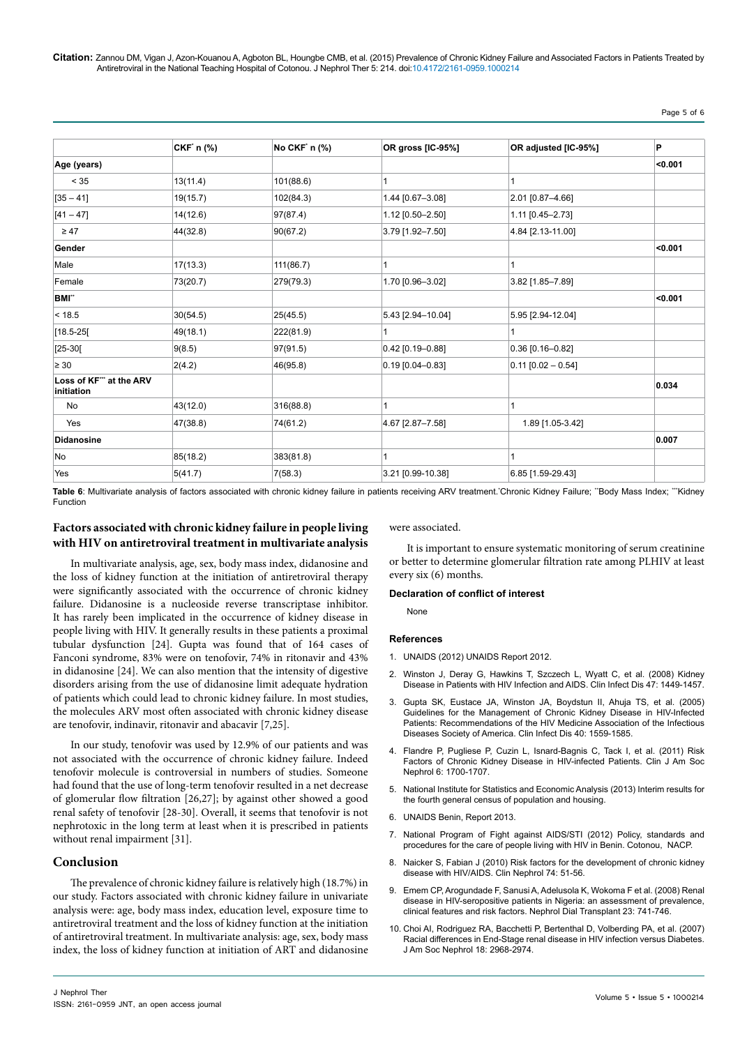#### Page 5 of 6

|                                      | CKF' n (%) | No CKF' n (%) | OR gross [IC-95%]  | OR adjusted [IC-95%] | P                |
|--------------------------------------|------------|---------------|--------------------|----------------------|------------------|
| Age (years)                          |            |               |                    |                      | <sub>0.001</sub> |
| < 35                                 | 13(11.4)   | 101(88.6)     |                    | 1                    |                  |
| $[35 - 41]$                          | 19(15.7)   | 102(84.3)     | 1.44 [0.67-3.08]   | 2.01 [0.87-4.66]     |                  |
| $[41 - 47]$                          | 14(12.6)   | 97(87.4)      | 1.12 [0.50-2.50]   | 1.11 [0.45-2.73]     |                  |
| $\geq 47$                            | 44(32.8)   | 90(67.2)      | 3.79 [1.92-7.50]   | 4.84 [2.13-11.00]    |                  |
| Gender                               |            |               |                    |                      | < 0.001          |
| Male                                 | 17(13.3)   | 111(86.7)     | 1                  | 1                    |                  |
| Female                               | 73(20.7)   | 279(79.3)     | 1.70 [0.96-3.02]   | 3.82 [1.85-7.89]     |                  |
| BMI"                                 |            |               |                    |                      | < 0.001          |
| < 18.5                               | 30(54.5)   | 25(45.5)      | 5.43 [2.94-10.04]  | 5.95 [2.94-12.04]    |                  |
| $[18.5 - 25]$                        | 49(18.1)   | 222(81.9)     | 1                  | $\mathbf{1}$         |                  |
| $[25-30]$                            | 9(8.5)     | 97(91.5)      | $0.42$ [0.19-0.88] | $0.36$ [0.16-0.82]   |                  |
| $\geq 30$                            | 2(4.2)     | 46(95.8)      | $0.19$ [0.04-0.83] | $0.11$ [0.02 - 0.54] |                  |
| Loss of KF" at the ARV<br>initiation |            |               |                    |                      | 0.034            |
| No                                   | 43(12.0)   | 316(88.8)     | 1                  | $\mathbf{1}$         |                  |
| Yes                                  | 47(38.8)   | 74(61.2)      | 4.67 [2.87-7.58]   | 1.89 [1.05-3.42]     |                  |
| <b>Didanosine</b>                    |            |               |                    |                      | 0.007            |
| No                                   | 85(18.2)   | 383(81.8)     |                    | 1                    |                  |
| Yes                                  | 5(41.7)    | 7(58.3)       | 3.21 [0.99-10.38]  | 6.85 [1.59-29.43]    |                  |

Table 6: Multivariate analysis of factors associated with chronic kidney failure in patients receiving ARV treatment. Chronic Kidney Failure; "Body Mass Index; "'Kidney Function

#### **Factors associated with chronic kidney failure in people living with HIV on antiretroviral treatment in multivariate analysis**

In multivariate analysis, age, sex, body mass index, didanosine and the loss of kidney function at the initiation of antiretroviral therapy were significantly associated with the occurrence of chronic kidney failure. Didanosine is a nucleoside reverse transcriptase inhibitor. It has rarely been implicated in the occurrence of kidney disease in people living with HIV. It generally results in these patients a proximal tubular dysfunction [24]. Gupta was found that of 164 cases of Fanconi syndrome, 83% were on tenofovir, 74% in ritonavir and 43% in didanosine [24]. We can also mention that the intensity of digestive disorders arising from the use of didanosine limit adequate hydration of patients which could lead to chronic kidney failure. In most studies, the molecules ARV most often associated with chronic kidney disease are tenofovir, indinavir, ritonavir and abacavir [7,25].

In our study, tenofovir was used by 12.9% of our patients and was not associated with the occurrence of chronic kidney failure. Indeed tenofovir molecule is controversial in numbers of studies. Someone had found that the use of long-term tenofovir resulted in a net decrease of glomerular flow filtration [26,27]; by against other showed a good renal safety of tenofovir [28-30]. Overall, it seems that tenofovir is not nephrotoxic in the long term at least when it is prescribed in patients without renal impairment [31].

#### **Conclusion**

The prevalence of chronic kidney failure is relatively high (18.7%) in our study. Factors associated with chronic kidney failure in univariate analysis were: age, body mass index, education level, exposure time to antiretroviral treatment and the loss of kidney function at the initiation of antiretroviral treatment. In multivariate analysis: age, sex, body mass index, the loss of kidney function at initiation of ART and didanosine were associated.

It is important to ensure systematic monitoring of serum creatinine or better to determine glomerular filtration rate among PLHIV at least every six (6) months.

#### **Declaration of conflict of interest**

None

#### **References**

- 1. [UNAIDS \(2012\) UNAIDS Report 2012.](http://www.unaids.org/sites/default/files/en/media/unaids/contentassets/documents/epidemiology/2012/gr2012/20121120_UNAIDS_Global_Report_2012_with_annexes_fr.pdf)
- 2. Winston J, Deray G, Hawkins T, Szczech L, Wyatt C, et al. (2008) Kidney [Disease in Patients with HIV Infection and AIDS. Clin Infect Dis 47: 1449-1457.](http://www.ncbi.nlm.nih.gov/pubmed/18947327)
- 3. [Gupta SK, Eustace JA, Winston JA, Boydstun II, Ahuja TS, et al. \(2005\)](http://www.ncbi.nlm.nih.gov/pubmed/15889353)  [Guidelines for the Management of Chronic Kidney Disease in HIV-Infected](http://www.ncbi.nlm.nih.gov/pubmed/15889353)  [Patients: Recommendations of the HIV Medicine Association of the Infectious](http://www.ncbi.nlm.nih.gov/pubmed/15889353)  [Diseases Society of America. Clin Infect Dis 40: 1559-1585.](http://www.ncbi.nlm.nih.gov/pubmed/15889353)
- 4. [Flandre P, Pugliese P, Cuzin L, Isnard-Bagnis C, Tack I, et al. \(2011\) Risk](http://www.ncbi.nlm.nih.gov/pubmed/21566114)  [Factors of Chronic Kidney Disease in HIV-infected Patients. Clin J Am Soc](http://www.ncbi.nlm.nih.gov/pubmed/21566114)  [Nephrol 6: 1700-1707.](http://www.ncbi.nlm.nih.gov/pubmed/21566114)
- 5. [National Institute for Statistics and Economic Analysis \(2013\) Interim results for](http://www.insae-bj.org/actualites/Atelier-evaluation-qualite-donnees-rgph4.html)  [the fourth general census of population and housing.](http://www.insae-bj.org/actualites/Atelier-evaluation-qualite-donnees-rgph4.html)
- 6. [UNAIDS Benin, Report 2013.](http://aidsinfo.unaids.org)
- 7. [National Program of Fight against AIDS/STI \(2012\) Policy, standards and](http://www.grandir.sidaction.org/documents/politique-normes-et-procedures-pour-la-prise-en-charge-des-personnes-vivant-avec-le-vih-au-benin/)  [procedures for the care of people living with HIV in Benin. Cotonou, NACP.](http://www.grandir.sidaction.org/documents/politique-normes-et-procedures-pour-la-prise-en-charge-des-personnes-vivant-avec-le-vih-au-benin/)
- 8. [Naicker S, Fabian J \(2010\) Risk factors for the development of chronic kidney](http://www.ncbi.nlm.nih.gov/pubmed/20979964)  [disease with HIV/AIDS. Clin Nephrol 74: 51-56.](http://www.ncbi.nlm.nih.gov/pubmed/20979964)
- 9. [Emem CP, Arogundade F, Sanusi A, Adelusola K, Wokoma F et al. \(2008\) Renal](http://www.ncbi.nlm.nih.gov/pubmed/18065807)  [disease in HIV-seropositive patients in Nigeria: an assessment of prevalence,](http://www.ncbi.nlm.nih.gov/pubmed/18065807)  [clinical features and risk factors. Nephrol Dial Transplant 23: 741-746.](http://www.ncbi.nlm.nih.gov/pubmed/18065807)
- 10. [Choi AI, Rodriguez RA, Bacchetti P, Bertenthal D, Volberding PA, et al. \(2007\)](http://www.ncbi.nlm.nih.gov/pubmed/17942954)  [Racial differences in End-Stage renal disease in HIV infection versus Diabetes.](http://www.ncbi.nlm.nih.gov/pubmed/17942954)  [J Am Soc Nephrol 18: 2968-2974.](http://www.ncbi.nlm.nih.gov/pubmed/17942954)